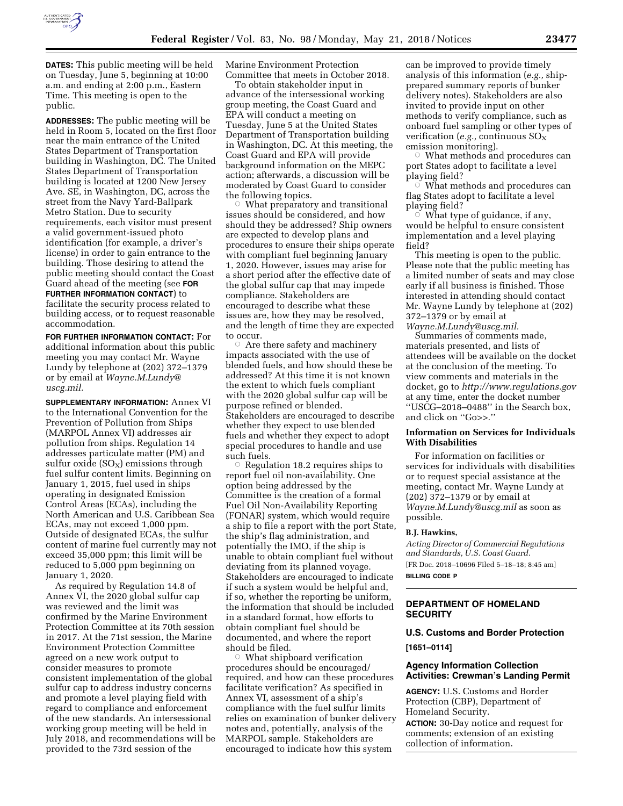

**DATES:** This public meeting will be held on Tuesday, June 5, beginning at 10:00 a.m. and ending at 2:00 p.m., Eastern Time. This meeting is open to the public.

**ADDRESSES:** The public meeting will be held in Room 5, located on the first floor near the main entrance of the United States Department of Transportation building in Washington, DC. The United States Department of Transportation building is located at 1200 New Jersey Ave. SE, in Washington, DC, across the street from the Navy Yard-Ballpark Metro Station. Due to security requirements, each visitor must present a valid government-issued photo identification (for example, a driver's license) in order to gain entrance to the building. Those desiring to attend the public meeting should contact the Coast Guard ahead of the meeting (see **FOR FURTHER INFORMATION CONTACT**) to

facilitate the security process related to building access, or to request reasonable accommodation.

**FOR FURTHER INFORMATION CONTACT:** For additional information about this public meeting you may contact Mr. Wayne Lundy by telephone at (202) 372–1379 or by email at *[Wayne.M.Lundy@](mailto:Wayne.M.Lundy@uscg.mil) [uscg.mil.](mailto:Wayne.M.Lundy@uscg.mil)* 

**SUPPLEMENTARY INFORMATION:** Annex VI to the International Convention for the Prevention of Pollution from Ships (MARPOL Annex VI) addresses air pollution from ships. Regulation 14 addresses particulate matter (PM) and sulfur oxide  $(SO_X)$  emissions through fuel sulfur content limits. Beginning on January 1, 2015, fuel used in ships operating in designated Emission Control Areas (ECAs), including the North American and U.S. Caribbean Sea ECAs, may not exceed 1,000 ppm. Outside of designated ECAs, the sulfur content of marine fuel currently may not exceed 35,000 ppm; this limit will be reduced to 5,000 ppm beginning on January 1, 2020.

As required by Regulation 14.8 of Annex VI, the 2020 global sulfur cap was reviewed and the limit was confirmed by the Marine Environment Protection Committee at its 70th session in 2017. At the 71st session, the Marine Environment Protection Committee agreed on a new work output to consider measures to promote consistent implementation of the global sulfur cap to address industry concerns and promote a level playing field with regard to compliance and enforcement of the new standards. An intersessional working group meeting will be held in July 2018, and recommendations will be provided to the 73rd session of the

Marine Environment Protection Committee that meets in October 2018.

To obtain stakeholder input in advance of the intersessional working group meeting, the Coast Guard and EPA will conduct a meeting on Tuesday, June 5 at the United States Department of Transportation building in Washington, DC. At this meeting, the Coast Guard and EPA will provide background information on the MEPC action; afterwards, a discussion will be moderated by Coast Guard to consider the following topics.

 $\circ$  What preparatory and transitional issues should be considered, and how should they be addressed? Ship owners are expected to develop plans and procedures to ensure their ships operate with compliant fuel beginning January 1, 2020. However, issues may arise for a short period after the effective date of the global sulfur cap that may impede compliance. Stakeholders are encouraged to describe what these issues are, how they may be resolved, and the length of time they are expected to occur.

 $\circ$  Are there safety and machinery impacts associated with the use of blended fuels, and how should these be addressed? At this time it is not known the extent to which fuels compliant with the 2020 global sulfur cap will be purpose refined or blended. Stakeholders are encouraged to describe whether they expect to use blended fuels and whether they expect to adopt special procedures to handle and use such fuels.

 $\circ$  Regulation 18.2 requires ships to report fuel oil non-availability. One option being addressed by the Committee is the creation of a formal Fuel Oil Non-Availability Reporting (FONAR) system, which would require a ship to file a report with the port State, the ship's flag administration, and potentially the IMO, if the ship is unable to obtain compliant fuel without deviating from its planned voyage. Stakeholders are encouraged to indicate if such a system would be helpful and, if so, whether the reporting be uniform, the information that should be included in a standard format, how efforts to obtain compliant fuel should be documented, and where the report should be filed.

 $\circ$  What shipboard verification procedures should be encouraged/ required, and how can these procedures facilitate verification? As specified in Annex VI, assessment of a ship's compliance with the fuel sulfur limits relies on examination of bunker delivery notes and, potentially, analysis of the MARPOL sample. Stakeholders are encouraged to indicate how this system

can be improved to provide timely analysis of this information (*e.g.,* shipprepared summary reports of bunker delivery notes). Stakeholders are also invited to provide input on other methods to verify compliance, such as onboard fuel sampling or other types of verification (*e.g.*, continuous SO<sub>X</sub> emission monitoring).

 $\circ$  What methods and procedures can port States adopt to facilitate a level playing field?

 $\circ$  What methods and procedures can flag States adopt to facilitate a level playing field?

 $\circ$  What type of guidance, if any, would be helpful to ensure consistent implementation and a level playing field?

This meeting is open to the public. Please note that the public meeting has a limited number of seats and may close early if all business is finished. Those interested in attending should contact Mr. Wayne Lundy by telephone at (202) 372–1379 or by email at *[Wayne.M.Lundy@uscg.mil.](mailto:Wayne.M.Lundy@uscg.mil)* 

Summaries of comments made, materials presented, and lists of attendees will be available on the docket at the conclusion of the meeting. To view comments and materials in the docket, go to *<http://www.regulations.gov>*  at any time, enter the docket number ''USCG–2018–0488'' in the Search box, and click on ''Go>>.''

#### **Information on Services for Individuals With Disabilities**

For information on facilities or services for individuals with disabilities or to request special assistance at the meeting, contact Mr. Wayne Lundy at (202) 372–1379 or by email at *[Wayne.M.Lundy@uscg.mil](mailto:Wayne.M.Lundy@uscg.mil)* as soon as possible.

#### **B.J. Hawkins,**

*Acting Director of Commercial Regulations and Standards, U.S. Coast Guard.*  [FR Doc. 2018–10696 Filed 5–18–18; 8:45 am]

**BILLING CODE P** 

# **DEPARTMENT OF HOMELAND SECURITY**

**U.S. Customs and Border Protection [1651–0114]** 

#### **Agency Information Collection Activities: Crewman's Landing Permit**

**AGENCY:** U.S. Customs and Border Protection (CBP), Department of Homeland Security.

**ACTION:** 30-Day notice and request for comments; extension of an existing collection of information.